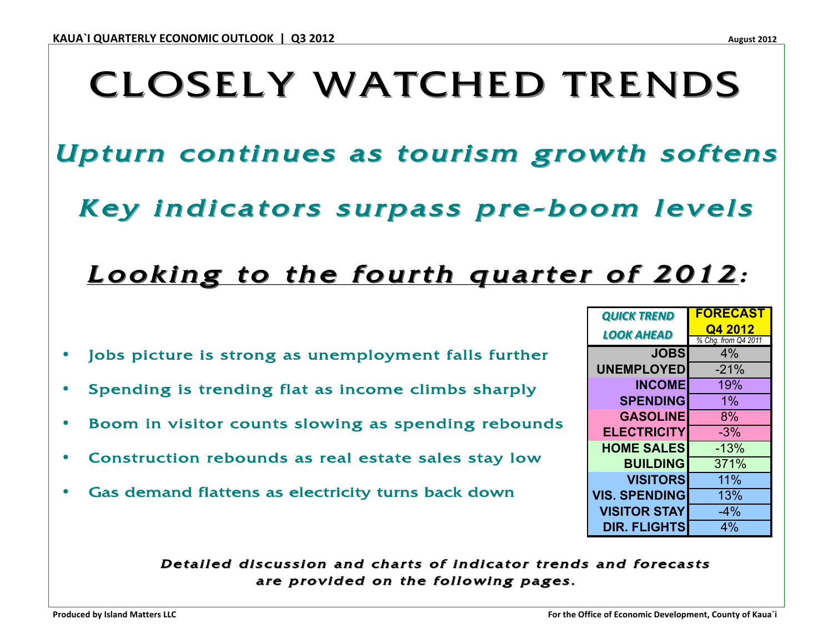# **CLOSELY WATCHED TRENDS**

Upturn continues as tourism growth softens

Key indicators surpass pre-boom levels

## Looking to the fourth quarter of 2012:

- Jobs picture is strong as unemployment falls further
- Spending is trending flat as income climbs sharply
- Boom in visitor counts slowing as spending rebounds
- Construction rebounds as real estate sales stay low
- Gas demand flattens as electricity turns back down

| <b>QUICK TREND</b>   | FUKECASI                       |
|----------------------|--------------------------------|
| <b>LOOK AHEAD</b>    | Q4 2012<br>% Chg. from Q4 2011 |
| <b>JOBS</b>          | 4%                             |
| <b>UNEMPLOYED</b>    | $-21%$                         |
| <b>INCOME</b>        | 19%                            |
| <b>SPENDING</b>      | 1%                             |
| <b>GASOLINE</b>      | 8%                             |
| <b>ELECTRICITY</b>   | $-3%$                          |
| <b>HOME SALES</b>    | $-13%$                         |
| <b>BUILDING</b>      | 371%                           |
| <b>VISITORS</b>      | 11%                            |
| <b>VIS. SPENDING</b> | 13%                            |
| <b>VISITOR STAY</b>  | $-4%$                          |
| <b>DIR. FLIGHTS</b>  | 4%                             |

 $\overline{\phantom{a}}$  parallel

Detailed discussion and charts of indicator trends and forecasts are provided on the following pages.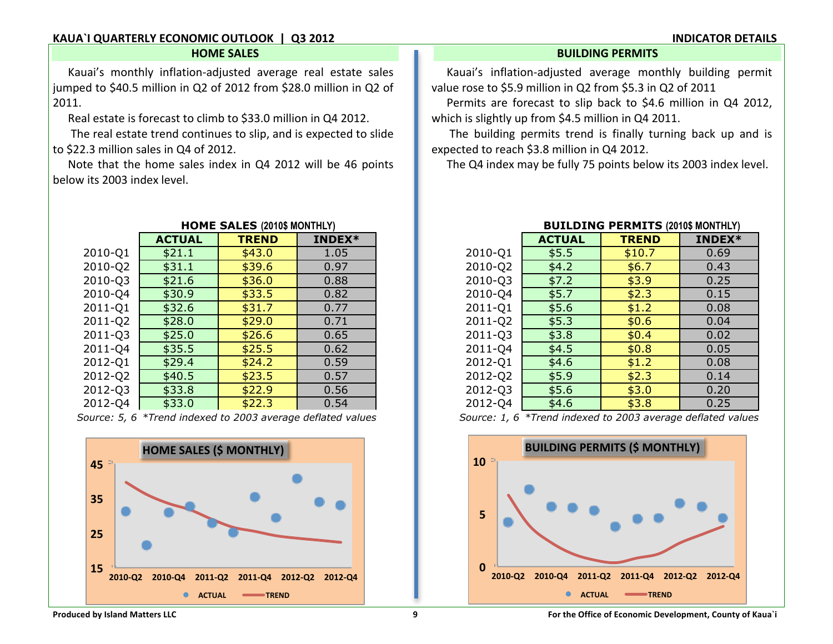#### **KAUA`I QUARTERLY ECONOMIC OUTLOOK | Q3 2012 INDICATOR DETAILS**

jumped to \$40.5 million in Q2 of 2012 from \$28.0 million in Q2 of value rose to \$5.9 million in Q2 from \$5.3 in Q2 of 2011

Real estate is forecast to climb to \$33.0 million in Q4 2012. which is slightly up from \$4.5 million in Q4 2011.

to \$22.3 million sales in Q4 of 2012. expected to reach \$3.8 million in Q4 2012.

Note that the home sales index in Q4 2012 will be 46 points The Q4 index may be fully 75 points below its 2003 index level. below its 2003 index level.

|         | <b>ACTUAL</b> | <b>TREND</b> | INDEX* |         |
|---------|---------------|--------------|--------|---------|
| 2010-Q1 | \$21.1        | \$43.0       | 1.05   | 2010-Q1 |
| 2010-Q2 | \$31.1        | \$39.6       | 0.97   | 2010-Q2 |
| 2010-Q3 | \$21.6        | \$36.0       | 0.88   | 2010-Q3 |
| 2010-Q4 | \$30.9        | \$33.5       | 0.82   | 2010-Q4 |
| 2011-Q1 | \$32.6        | \$31.7       | 0.77   | 2011-Q1 |
| 2011-Q2 | \$28.0        | \$29.0       | 0.71   | 2011-Q2 |
| 2011-03 | \$25.0        | \$26.6       | 0.65   | 2011-Q3 |
| 2011-Q4 | \$35.5        | \$25.5       | 0.62   | 2011-Q4 |
| 2012-Q1 | \$29.4        | \$24.2       | 0.59   | 2012-Q1 |
| 2012-Q2 | \$40.5        | \$23.5       | 0.57   | 2012-Q2 |
| 2012-03 | \$33.8        | \$22.9       | 0.56   | 2012-Q3 |
| 2012-Q4 | \$33.0        | \$22.3       | 0.54   | 2012-Q4 |

Source: 5, 6 \*Trend indexed to 2003 average deflated values



#### **HOME SALES BUILDING PERMITS**

Kauai's monthly inflation-adjusted average real estate sales Kauai's inflation-adjusted average monthly building permit

2011. **Permits are forecast to slip back to \$4.6 million in Q4 2012,** 

The real estate trend continues to slip, and is expected to slide The building permits trend is finally turning back up and is

|         | <b>ACTUAL</b> | <b>TREND</b> | INDEX* |
|---------|---------------|--------------|--------|
| 2010-Q1 | \$5.5         | \$10.7       | 0.69   |
| 2010-Q2 | \$4.2         | \$6.7        | 0.43   |
| 2010-Q3 | \$7.2         | \$3.9        | 0.25   |
| 2010-Q4 | \$5.7         | \$2.3        | 0.15   |
| 2011-Q1 | \$5.6         | \$1.2        | 0.08   |
| 2011-Q2 | \$5.3         | \$0.6        | 0.04   |
| 2011-Q3 | \$3.8         | \$0.4        | 0.02   |
| 2011-Q4 | \$4.5         | \$0.8        | 0.05   |
| 2012-Q1 | \$4.6         | \$1.2        | 0.08   |
| 2012-Q2 | \$5.9         | \$2.3        | 0.14   |
| 2012-Q3 | \$5.6         | \$3.0        | 0.20   |
| 2012-Q4 | \$4.6         | \$3.8        | 0.25   |

#### **HOME SALES (2010\$ MONTHLY) BUILDING PERMITS (2010\$ MONTHLY)**

*Source: 5, 6 \*Trend indexed to 2003 average deflated values. Source: 1, 6 \*Trend indexed to 2003 average deflated values.* 

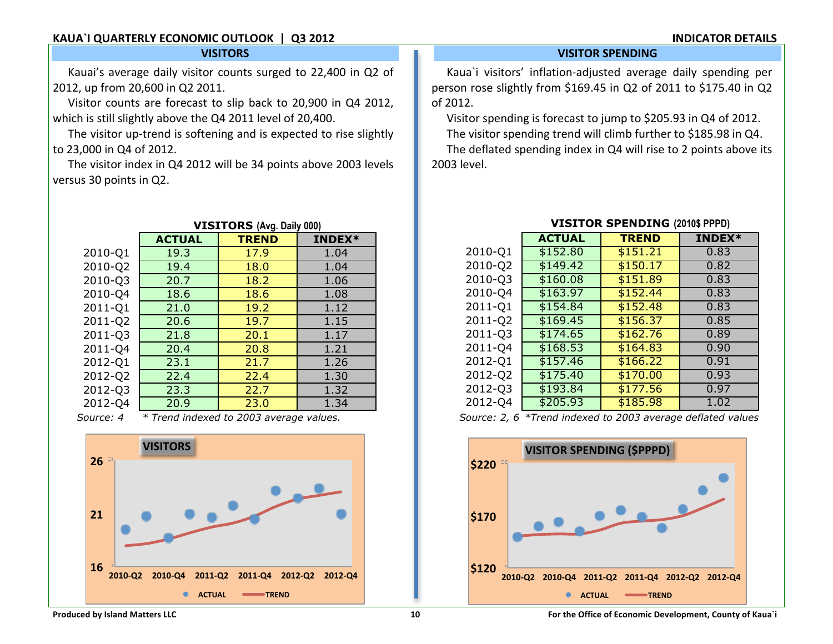### **KAUA`I QUARTERLY ECONOMIC OUTLOOK | Q3 2012**

#### **INDICATOR DETAILS**

#### **VISITORS**

Kauai's average daily visitor counts surged to 22,400 in Q2 of 2012, up from 20,600 in Q2 2011.

Visitor counts are forecast to slip back to 20,900 in Q4 2012, which is still slightly above the Q4 2011 level of 20,400.

The visitor up-trend is softening and is expected to rise slightly to 23,000 in Q4 of 2012.

The visitor index in Q4 2012 will be 34 points above 2003 levels versus 30 points in Q2.

|           | ינסייו                                  |              |        |  |
|-----------|-----------------------------------------|--------------|--------|--|
|           | <b>ACTUAL</b>                           | <b>TREND</b> | INDEX* |  |
| 2010-Q1   | 19.3                                    | 17.9         | 1.04   |  |
| 2010-Q2   | 19.4                                    | 18.0         | 1.04   |  |
| 2010-Q3   | 20.7                                    | 18.2         | 1.06   |  |
| 2010-Q4   | 18.6                                    | 18.6         | 1.08   |  |
| 2011-Q1   | 21.0                                    | 19.2         | 1.12   |  |
| 2011-Q2   | 20.6                                    | 19.7         | 1.15   |  |
| 2011-Q3   | 21.8                                    | 20.1         | 1.17   |  |
| 2011-Q4   | 20.4                                    | 20.8         | 1.21   |  |
| 2012-Q1   | 23.1                                    | 21.7         | 1.26   |  |
| 2012-Q2   | 22.4                                    | 22.4         | 1.30   |  |
| 2012-Q3   | 23.3                                    | 22.7         | 1.32   |  |
| 2012-Q4   | 20.9                                    | 23.0         | 1.34   |  |
| Source: 4 | * Trend indexed to 2003 average values. |              |        |  |

## **VISITORS (Avg. Daily 000)**

*Source: 4 \* Trend indexed to 2003 average values.* 



#### **VISITOR SPENDING**

Kaua`i visitors' inflation-adjusted average daily spending per person rose slightly from \$169.45 in Q2 of 2011 to \$175.40 in Q2 of 2012.

Visitor spending is forecast to jump to \$205.93 in Q4 of 2012.

The visitor spending trend will climb further to \$185.98 in Q4.

The deflated spending index in Q4 will rise to 2 points above its 2003 level.

|         | <b>ACTUAL</b> | <b>TREND</b> | <b>INDEX*</b> |
|---------|---------------|--------------|---------------|
| 2010-Q1 | \$152.80      | \$151.21     | 0.83          |
| 2010-Q2 | \$149.42      | \$150.17     | 0.82          |
| 2010-Q3 | \$160.08      | \$151.89     | 0.83          |
| 2010-Q4 | \$163.97      | \$152.44     | 0.83          |
| 2011-Q1 | \$154.84      | \$152.48     | 0.83          |
| 2011-Q2 | \$169.45      | \$156.37     | 0.85          |
| 2011-Q3 | \$174.65      | \$162.76     | 0.89          |
| 2011-Q4 | \$168.53      | \$164.83     | 0.90          |
| 2012-Q1 | \$157.46      | \$166.22     | 0.91          |
| 2012-Q2 | \$175.40      | \$170.00     | 0.93          |
| 2012-Q3 | \$193.84      | \$177.56     | 0.97          |
| 2012-Q4 | \$205.93      | \$185.98     | 1.02          |

#### **VISITOR SPENDING (2010\$ PPPD)**

*Source: 2, 6 \*Trend indexed to 2003 average deflated values.*